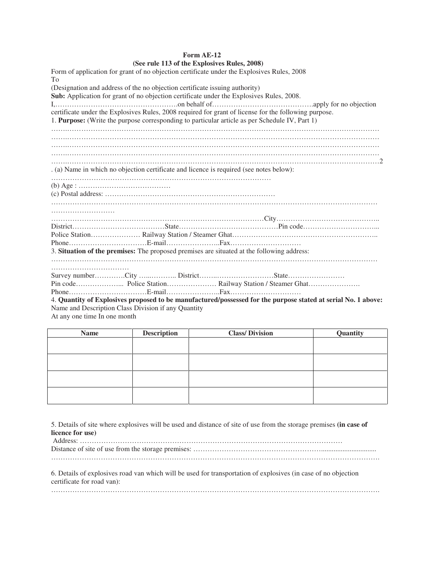## **Form AE-12**<br>**See rule 113 of the Explosive Explosives Rules, 2008)**

| (See rule 113 of the Explosives Kules, 2006)                                                                  |
|---------------------------------------------------------------------------------------------------------------|
| Form of application for grant of no objection certificate under the Explosives Rules, 2008                    |
| Tо                                                                                                            |
| (Designation and address of the no objection certificate issuing authority)                                   |
| Sub: Application for grant of no objection certificate under the Explosives Rules, 2008.                      |
|                                                                                                               |
| certificate under the Explosives Rules, 2008 required for grant of license for the following purpose.         |
| 1. Purpose: (Write the purpose corresponding to particular article as per Schedule IV, Part 1)                |
|                                                                                                               |
|                                                                                                               |
|                                                                                                               |
|                                                                                                               |
|                                                                                                               |
| . (a) Name in which no objection certificate and licence is required (see notes below):                       |
|                                                                                                               |
|                                                                                                               |
|                                                                                                               |
|                                                                                                               |
|                                                                                                               |
|                                                                                                               |
|                                                                                                               |
|                                                                                                               |
|                                                                                                               |
|                                                                                                               |
| 3. Situation of the premises: The proposed premises are situated at the following address:                    |
|                                                                                                               |
|                                                                                                               |
|                                                                                                               |
|                                                                                                               |
|                                                                                                               |
| 4. Quantity of Explosives proposed to be manufactured/possessed for the purpose stated at serial No. 1 above: |
| Name and Description Class Division if any Quantity                                                           |
|                                                                                                               |

At any one time In one month

| <b>Name</b> | <b>Description</b> | <b>Class/Division</b> | Quantity |
|-------------|--------------------|-----------------------|----------|
|             |                    |                       |          |
|             |                    |                       |          |
|             |                    |                       |          |
|             |                    |                       |          |
|             |                    |                       |          |
|             |                    |                       |          |
|             |                    |                       |          |
|             |                    |                       |          |

5. Details of site where explosives will be used and distance of site of use from the storage premises **(in case of licence for use)** 

| 6. Details of explosives road van which will be used for transportation of explosives (in case of no objection<br>certificate for road van): |
|----------------------------------------------------------------------------------------------------------------------------------------------|

………………………………………………………………………………………………………………………….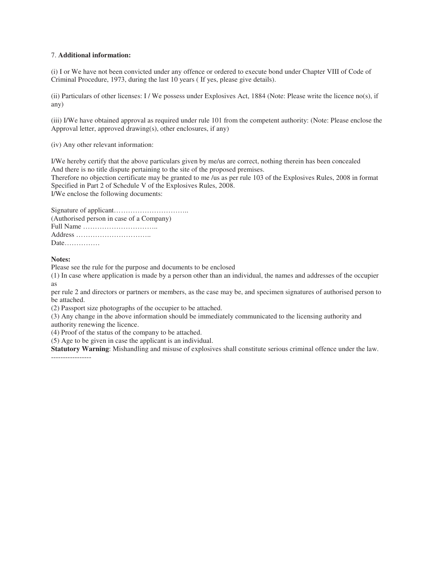## 7. **Additional information:**

(i) I or We have not been convicted under any offence or ordered to execute bond under Chapter VIII of Code of Criminal Procedure, 1973, during the last 10 years ( If yes, please give details).

(ii) Particulars of other licenses: I / We possess under Explosives Act, 1884 (Note: Please write the licence no(s), if any)

(iii) I/We have obtained approval as required under rule 101 from the competent authority: (Note: Please enclose the Approval letter, approved drawing(s), other enclosures, if any)

(iv) Any other relevant information:

I/We hereby certify that the above particulars given by me/us are correct, nothing therein has been concealed And there is no title dispute pertaining to the site of the proposed premises.

Therefore no objection certificate may be granted to me /us as per rule 103 of the Explosives Rules, 2008 in format Specified in Part 2 of Schedule V of the Explosives Rules, 2008.

I/We enclose the following documents:

| (Authorised person in case of a Company)                            |
|---------------------------------------------------------------------|
| Full Name $\dots\dots\dots\dots\dots\dots\dots\dots\dots\dots\dots$ |
| Address                                                             |
| Date                                                                |

## **Notes:**

Please see the rule for the purpose and documents to be enclosed

(1) In case where application is made by a person other than an individual, the names and addresses of the occupier as

per rule 2 and directors or partners or members, as the case may be, and specimen signatures of authorised person to be attached.

(2) Passport size photographs of the occupier to be attached.

(3) Any change in the above information should be immediately communicated to the licensing authority and

authority renewing the licence.

(4) Proof of the status of the company to be attached.

(5) Age to be given in case the applicant is an individual.

**Statutory Warning**: Mishandling and misuse of explosives shall constitute serious criminal offence under the law. -----------------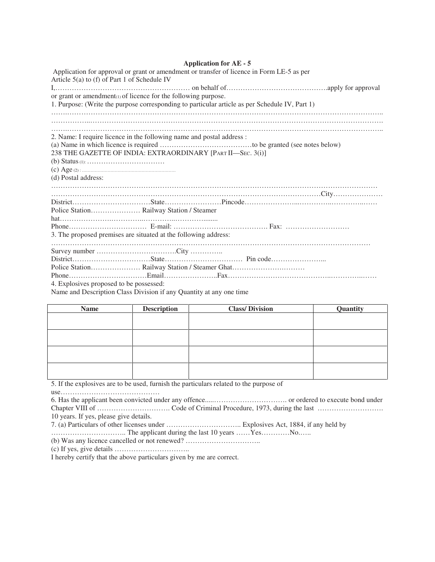## **Application for AE - 5**

| Application for approval or grant or amendment or transfer of licence in Form LE-5 as per<br>Article $5(a)$ to (f) of Part 1 of Schedule IV                                                                                                                                                      |
|--------------------------------------------------------------------------------------------------------------------------------------------------------------------------------------------------------------------------------------------------------------------------------------------------|
|                                                                                                                                                                                                                                                                                                  |
| or grant or amendment(1) of licence for the following purpose.                                                                                                                                                                                                                                   |
| 1. Purpose: (Write the purpose corresponding to particular article as per Schedule IV, Part 1)                                                                                                                                                                                                   |
|                                                                                                                                                                                                                                                                                                  |
|                                                                                                                                                                                                                                                                                                  |
| 2. Name: I require licence in the following name and postal address :                                                                                                                                                                                                                            |
|                                                                                                                                                                                                                                                                                                  |
| 238 THE GAZETTE OF INDIA: EXTRAORDINARY [PART II-SEC. 3(i)]                                                                                                                                                                                                                                      |
|                                                                                                                                                                                                                                                                                                  |
|                                                                                                                                                                                                                                                                                                  |
| (d) Postal address:                                                                                                                                                                                                                                                                              |
|                                                                                                                                                                                                                                                                                                  |
|                                                                                                                                                                                                                                                                                                  |
|                                                                                                                                                                                                                                                                                                  |
|                                                                                                                                                                                                                                                                                                  |
|                                                                                                                                                                                                                                                                                                  |
|                                                                                                                                                                                                                                                                                                  |
| 3. The proposed premises are situated at the following address:                                                                                                                                                                                                                                  |
|                                                                                                                                                                                                                                                                                                  |
|                                                                                                                                                                                                                                                                                                  |
|                                                                                                                                                                                                                                                                                                  |
|                                                                                                                                                                                                                                                                                                  |
|                                                                                                                                                                                                                                                                                                  |
| 4. Explosives proposed to be possessed:                                                                                                                                                                                                                                                          |
| $\mathbf{r}$ and $\mathbf{r}$ and $\mathbf{r}$ and $\mathbf{r}$ and $\mathbf{r}$ and $\mathbf{r}$ and $\mathbf{r}$ and $\mathbf{r}$ and $\mathbf{r}$ and $\mathbf{r}$ and $\mathbf{r}$ and $\mathbf{r}$ and $\mathbf{r}$ and $\mathbf{r}$ and $\mathbf{r}$ and $\mathbf{r}$ and $\mathbf{r}$ and |

Name and Description Class Division if any Quantity at any one time

| <b>Name</b> | <b>Description</b> | <b>Class/Division</b> | Quantity |
|-------------|--------------------|-----------------------|----------|
|             |                    |                       |          |
|             |                    |                       |          |
|             |                    |                       |          |
|             |                    |                       |          |
|             |                    |                       |          |
|             |                    |                       |          |
|             |                    |                       |          |
|             |                    |                       |          |

5. If the explosives are to be used, furnish the particulars related to the purpose of

use……………………………………

10 years. If yes, please give details.

………………………….. The applicant during the last 10 years ……Yes…………No.…..

(b) Was any licence cancelled or not renewed? …………………………..

(c) If yes, give details …………………………..

I hereby certify that the above particulars given by me are correct.

<sup>7. (</sup>a) Particulars of other licenses under ………………………….. Explosives Act, 1884, if any held by